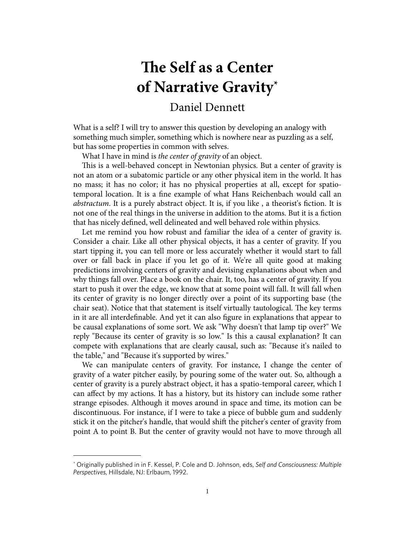## **Te Self as a Center of Narrative Gravity[\\*](#page-0-0)**

## Daniel Dennett

What is a self? I will try to answer this question by developing an analogy with something much simpler, something which is nowhere near as puzzling as a self, but has some properties in common with selves.

What I have in mind is *the center of gravity* of an object.

This is a well-behaved concept in Newtonian physics. But a center of gravity is not an atom or a subatomic particle or any other physical item in the world. It has no mass; it has no color; it has no physical properties at all, except for spatiotemporal location. It is a fine example of what Hans Reichenbach would call an *abstractum*. It is a purely abstract object. It is, if you like , a theorist's fiction. It is not one of the real things in the universe in addition to the atoms. But it is a fiction that has nicely defined, well delineated and well behaved role within physics.

Let me remind you how robust and familiar the idea of a center of gravity is. Consider a chair. Like all other physical objects, it has a center of gravity. If you start tipping it, you can tell more or less accurately whether it would start to fall over or fall back in place if you let go of it. We're all quite good at making predictions involving centers of gravity and devising explanations about when and why things fall over. Place a book on the chair. It, too, has a center of gravity. If you start to push it over the edge, we know that at some point will fall. It will fall when its center of gravity is no longer directly over a point of its supporting base (the chair seat). Notice that that statement is itself virtually tautological. The key terms in it are all interdefinable. And yet it can also figure in explanations that appear to be causal explanations of some sort. We ask "Why doesn't that lamp tip over?" We reply "Because its center of gravity is so low." Is this a causal explanation? It can compete with explanations that are clearly causal, such as: "Because it's nailed to the table," and "Because it's supported by wires."

We can manipulate centers of gravity. For instance, I change the center of gravity of a water pitcher easily, by pouring some of the water out. So, although a center of gravity is a purely abstract object, it has a spatio-temporal career, which I can affect by my actions. It has a history, but its history can include some rather strange episodes. Although it moves around in space and time, its motion can be discontinuous. For instance, if I were to take a piece of bubble gum and suddenly stick it on the pitcher's handle, that would shift the pitcher's center of gravity from point A to point B. But the center of gravity would not have to move through all

<span id="page-0-0"></span>*<sup>\*</sup>* Originally published in in F. Kessel, P. Cole and D. Johnson, eds, *Self and Consciousness: Multiple Perspectives*, Hillsdale, NJ: Erlbaum, 1992.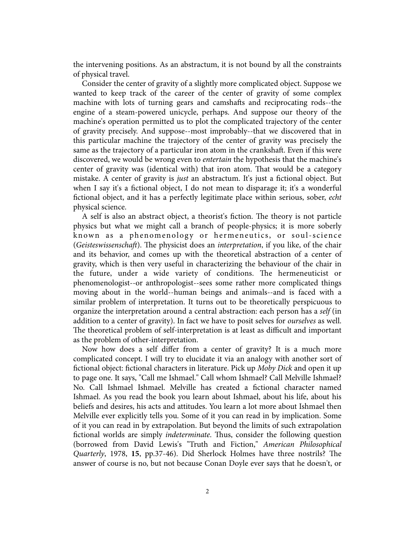the intervening positions. As an abstractum, it is not bound by all the constraints of physical travel.

Consider the center of gravity of a slightly more complicated object. Suppose we wanted to keep track of the career of the center of gravity of some complex machine with lots of turning gears and camshafs and reciprocating rods--the engine of a steam-powered unicycle, perhaps. And suppose our theory of the machine's operation permitted us to plot the complicated trajectory of the center of gravity precisely. And suppose--most improbably--that we discovered that in this particular machine the trajectory of the center of gravity was precisely the same as the trajectory of a particular iron atom in the crankshaft. Even if this were discovered, we would be wrong even to *entertain* the hypothesis that the machine's center of gravity was (identical with) that iron atom. That would be a category mistake. A center of gravity is *just* an abstractum. It's just a fictional object. But when I say it's a fictional object, I do not mean to disparage it; it's a wonderful fictional object, and it has a perfectly legitimate place within serious, sober, *echt* physical science.

A self is also an abstract object, a theorist's fiction. The theory is not particle physics but what we might call a branch of people-physics; it is more soberly known as a phenomenology or hermeneutics, or soul-science (*Geisteswissenschaft*). The physicist does an *interpretation*, if you like, of the chair and its behavior, and comes up with the theoretical abstraction of a center of gravity, which is then very useful in characterizing the behaviour of the chair in the future, under a wide variety of conditions. The hermeneuticist or phenomenologist--or anthropologist--sees some rather more complicated things moving about in the world--human beings and animals--and is faced with a similar problem of interpretation. It turns out to be theoretically perspicuous to organize the interpretation around a central abstraction: each person has a *self* (in addition to a center of gravity). In fact we have to posit selves for *ourselves* as well. The theoretical problem of self-interpretation is at least as difficult and important as the problem of other-interpretation.

Now how does a self differ from a center of gravity? It is a much more complicated concept. I will try to elucidate it via an analogy with another sort of fictional object: fictional characters in literature. Pick up *Moby Dick* and open it up to page one. It says, "Call me Ishmael." Call whom Ishmael? Call Melville Ishmael? No. Call Ishmael Ishmael. Melville has created a fictional character named Ishmael. As you read the book you learn about Ishmael, about his life, about his beliefs and desires, his acts and attitudes. You learn a lot more about Ishmael then Melville ever explicitly tells you. Some of it you can read in by implication. Some of it you can read in by extrapolation. But beyond the limits of such extrapolation fictional worlds are simply *indeterminate*. Thus, consider the following question (borrowed from David Lewis's "Truth and Fiction," *American Philosophical Quarterly*, 1978, 15, pp.37-46). Did Sherlock Holmes have three nostrils? The answer of course is no, but not because Conan Doyle ever says that he doesn't, or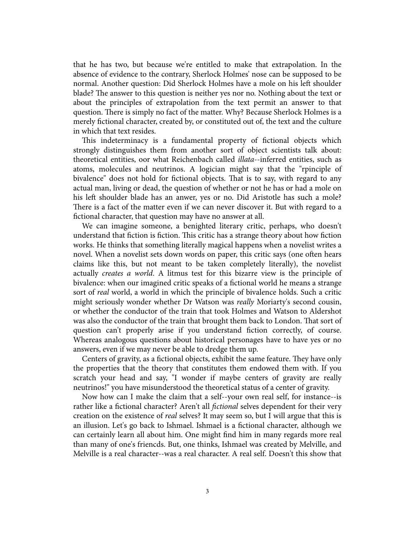that he has two, but because we're entitled to make that extrapolation. In the absence of evidence to the contrary, Sherlock Holmes' nose can be supposed to be normal. Another question: Did Sherlock Holmes have a mole on his left shoulder blade? The answer to this question is neither yes nor no. Nothing about the text or about the principles of extrapolation from the text permit an answer to that question. There is simply no fact of the matter. Why? Because Sherlock Holmes is a merely fictional character, created by, or constituted out of, the text and the culture in which that text resides.

This indeterminacy is a fundamental property of fictional objects which strongly distinguishes them from another sort of object scientists talk about: theoretical entities, oor what Reichenbach called *illata*--inferred entities, such as atoms, molecules and neutrinos. A logician might say that the "rpinciple of bivalence" does not hold for fictional objects. That is to say, with regard to any actual man, living or dead, the question of whether or not he has or had a mole on his left shoulder blade has an anwer, yes or no. Did Aristotle has such a mole? There is a fact of the matter even if we can never discover it. But with regard to a fictional character, that question may have no answer at all.

We can imagine someone, a benighted literary critic, perhaps, who doesn't understand that fiction is fiction. This critic has a strange theory about how fiction works. He thinks that something literally magical happens when a novelist writes a novel. When a novelist sets down words on paper, this critic says (one ofen hears claims like this, but not meant to be taken completely literally), the novelist actually *creates a world*. A litmus test for this bizarre view is the principle of bivalence: when our imagined critic speaks of a fictional world he means a strange sort of *real* world, a world in which the principle of bivalence holds. Such a critic might seriously wonder whether Dr Watson was *really* Moriarty's second cousin, or whether the conductor of the train that took Holmes and Watson to Aldershot was also the conductor of the train that brought them back to London. That sort of question can't properly arise if you understand fiction correctly, of course. Whereas analogous questions about historical personages have to have yes or no answers, even if we may never be able to dredge them up.

Centers of gravity, as a fictional objects, exhibit the same feature. They have only the properties that the theory that constitutes them endowed them with. If you scratch your head and say, "I wonder if maybe centers of gravity are really neutrinos!" you have misunderstood the theoretical status of a center of gravity.

Now how can I make the claim that a self--your own real self, for instance--is rather like a fictional character? Aren't all fi*ctional* selves dependent for their very creation on the existence of *real* selves? It may seem so, but I will argue that this is an illusion. Let's go back to Ishmael. Ishmael is a fictional character, although we can certainly learn all about him. One might find him in many regards more real than many of one's friencds. But, one thinks, Ishmael was created by Melville, and Melville is a real character--was a real character. A real self. Doesn't this show that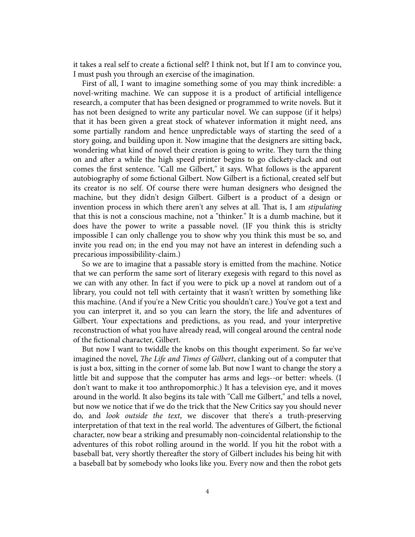it takes a real self to create a fictional self? I think not, but If I am to convince you, I must push you through an exercise of the imagination.

First of all, I want to imagine something some of you may think incredible: a novel-writing machine. We can suppose it is a product of artificial intelligence research, a computer that has been designed or programmed to write novels. But it has not been designed to write any particular novel. We can suppose (if it helps) that it has been given a great stock of whatever information it might need, ans some partially random and hence unpredictable ways of starting the seed of a story going, and building upon it. Now imagine that the designers are sitting back, wondering what kind of novel their creation is going to write. They turn the thing on and afer a while the high speed printer begins to go clickety-clack and out comes the first sentence. "Call me Gilbert," it says. What follows is the apparent autobiography of some fictional Gilbert. Now Gilbert is a fictional, created self but its creator is no self. Of course there were human designers who designed the machine, but they didn't design Gilbert. Gilbert is a product of a design or invention process in which there aren't any selves at all. That is, I am *stipulating* that this is not a conscious machine, not a "thinker." It is a dumb machine, but it does have the power to write a passable novel. (IF you think this is striclty impossible I can only challenge you to show why you think this must be so, and invite you read on; in the end you may not have an interest in defending such a precarious impossibilility-claim.)

So we are to imagine that a passable story is emitted from the machine. Notice that we can perform the same sort of literary exegesis with regard to this novel as we can with any other. In fact if you were to pick up a novel at random out of a library, you could not tell with certainty that it wasn't written by something like this machine. (And if you're a New Critic you shouldn't care.) You've got a text and you can interpret it, and so you can learn the story, the life and adventures of Gilbert. Your expectations and predictions, as you read, and your interpretive reconstruction of what you have already read, will congeal around the central node of the fictional character, Gilbert.

But now I want to twiddle the knobs on this thought experiment. So far we've imagined the novel, T*e Life and Times of Gilbert*, clanking out of a computer that is just a box, sitting in the corner of some lab. But now I want to change the story a little bit and suppose that the computer has arms and legs--or better: wheels. (I don't want to make it too anthropomorphic.) It has a television eye, and it moves around in the world. It also begins its tale with "Call me Gilbert," and tells a novel, but now we notice that if we do the trick that the New Critics say you should never do, and *look outside the text*, we discover that there's a truth-preserving interpretation of that text in the real world. The adventures of Gilbert, the fictional character, now bear a striking and presumably non-coincidental relationship to the adventures of this robot rolling around in the world. If you hit the robot with a baseball bat, very shortly thereafer the story of Gilbert includes his being hit with a baseball bat by somebody who looks like you. Every now and then the robot gets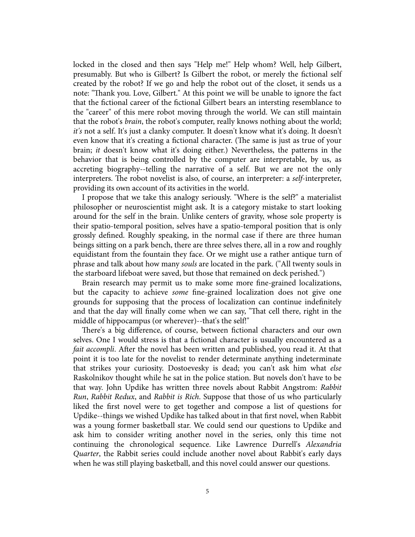locked in the closed and then says "Help me!" Help whom? Well, help Gilbert, presumably. But who is Gilbert? Is Gilbert the robot, or merely the fictional self created by the robot? If we go and help the robot out of the closet, it sends us a note: "Thank you. Love, Gilbert." At this point we will be unable to ignore the fact that the fictional career of the fictional Gilbert bears an intersting resemblance to the "career" of this mere robot moving through the world. We can still maintain that the robot's *brain*, the robot's computer, really knows nothing about the world; *it's* not a self. It's just a clanky computer. It doesn't know what it's doing. It doesn't even know that it's creating a fictional character. (The same is just as true of your brain; *it* doesn't know what it's doing either.) Nevertheless, the patterns in the behavior that is being controlled by the computer are interpretable, by us, as accreting biography--telling the narrative of a self. But we are not the only interpreters. The robot novelist is also, of course, an interpreter: a *self*-interpreter, providing its own account of its activities in the world.

I propose that we take this analogy seriously. "Where is the self?" a materialist philosopher or neuroscientist might ask. It is a category mistake to start looking around for the self in the brain. Unlike centers of gravity, whose sole property is their spatio-temporal position, selves have a spatio-temporal position that is only grossly defined. Roughly speaking, in the normal case if there are three human beings sitting on a park bench, there are three selves there, all in a row and roughly equidistant from the fountain they face. Or we might use a rather antique turn of phrase and talk about how many *souls* are located in the park. ("All twenty souls in the starboard lifeboat were saved, but those that remained on deck perished.")

Brain research may permit us to make some more fine-grained localizations, but the capacity to achieve *some* fine-grained localization does not give one grounds for supposing that the process of localization can continue indefinitely and that the day will finally come when we can say, "That cell there, right in the middle of hippocampus (or wherever)--that's the self!"

There's a big difference, of course, between fictional characters and our own selves. One I would stress is that a fictional character is usually encountered as a *fait accompli*. Afer the novel has been written and published, you read it. At that point it is too late for the novelist to render determinate anything indeterminate that strikes your curiosity. Dostoevesky is dead; you can't ask him what *else* Raskolnikov thought while he sat in the police station. But novels don't have to be that way. John Updike has written three novels about Rabbit Angstrom: *Rabbit Run*, *Rabbit Redux*, and *Rabbit is Rich*. Suppose that those of us who particularly liked the first novel were to get together and compose a list of questions for Updike--things we wished Updike has talked about in that first novel, when Rabbit was a young former basketball star. We could send our questions to Updike and ask him to consider writing another novel in the series, only this time not continuing the chronological sequence. Like Lawrence Durrell's *Alexandria Quarter*, the Rabbit series could include another novel about Rabbit's early days when he was still playing basketball, and this novel could answer our questions.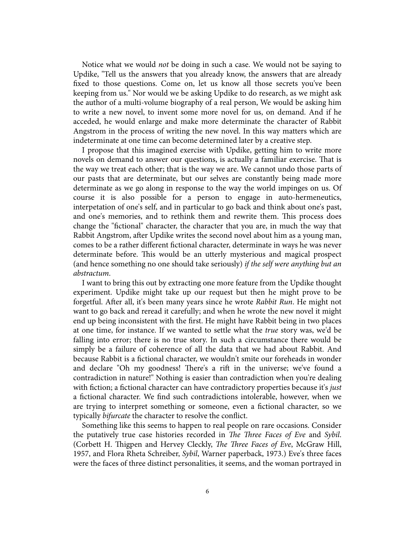Notice what we would *not* be doing in such a case. We would not be saying to Updike, "Tell us the answers that you already know, the answers that are already fixed to those questions. Come on, let us know all those secrets you've been keeping from us." Nor would we be asking Updike to do research, as we might ask the author of a multi-volume biography of a real person, We would be asking him to write a new novel, to invent some more novel for us, on demand. And if he acceded, he would enlarge and make more determinate the character of Rabbit Angstrom in the process of writing the new novel. In this way matters which are indeterminate at one time can become determined later by a creative step.

I propose that this imagined exercise with Updike, getting him to write more novels on demand to answer our questions, is actually a familiar exercise. That is the way we treat each other; that is the way we are. We cannot undo those parts of our pasts that are determinate, but our selves are constantly being made more determinate as we go along in response to the way the world impinges on us. Of course it is also possible for a person to engage in auto-hermeneutics, interpetation of one's self, and in particular to go back and think about one's past, and one's memories, and to rethink them and rewrite them. This process does change the "fictional" character, the character that you are, in much the way that Rabbit Angstrom, after Updike writes the second novel about him as a young man, comes to be a rather different fictional character, determinate in ways he was never determinate before. This would be an utterly mysterious and magical prospect (and hence something no one should take seriously) *if the self were anything but an abstractum*.

I want to bring this out by extracting one more feature from the Updike thought experiment. Updike might take up our request but then he might prove to be forgetful. Afer all, it's been many years since he wrote *Rabbit Run*. He might not want to go back and reread it carefully; and when he wrote the new novel it might end up being inconsistent with the first. He might have Rabbit being in two places at one time, for instance. If we wanted to settle what the *true* story was, we'd be falling into error; there is no true story. In such a circumstance there would be simply be a failure of coherence of all the data that we had about Rabbit. And because Rabbit is a fictional character, we wouldn't smite our foreheads in wonder and declare "Oh my goodness! There's a rift in the universe; we've found a contradiction in nature!" Nothing is easier than contradiction when you're dealing with fiction; a fictional character can have contradictory properties because it's *just* a fictional character. We find such contradictions intolerable, however, when we are trying to interpret something or someone, even a fictional character, so we typically *bifurcate* the character to resolve the conflict.

Something like this seems to happen to real people on rare occasions. Consider the putatively true case histories recorded in *The Three Faces of Eve* and *Sybil*. (Corbett H. Tigpen and Hervey Cleckly, T*e* T*ree Faces of Eve*, McGraw Hill, 1957, and Flora Rheta Schreiber, *Sybil*, Warner paperback, 1973.) Eve's three faces were the faces of three distinct personalities, it seems, and the woman portrayed in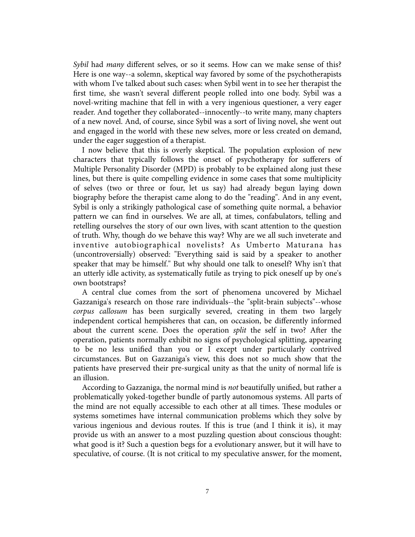*Sybil* had *many* different selves, or so it seems. How can we make sense of this? Here is one way--a solemn, skeptical way favored by some of the psychotherapists with whom I've talked about such cases: when Sybil went in to see her therapist the first time, she wasn't several different people rolled into one body. Sybil was a novel-writing machine that fell in with a very ingenious questioner, a very eager reader. And together they collaborated--innocently--to write many, many chapters of a new novel. And, of course, since Sybil was a sort of living novel, she went out and engaged in the world with these new selves, more or less created on demand, under the eager suggestion of a therapist.

I now believe that this is overly skeptical. The population explosion of new characters that typically follows the onset of psychotherapy for sufferers of Multiple Personality Disorder (MPD) is probably to be explained along just these lines, but there is quite compelling evidence in some cases that some multiplicity of selves (two or three or four, let us say) had already begun laying down biography before the therapist came along to do the "reading". And in any event, Sybil is only a strikingly pathological case of something quite normal, a behavior pattern we can find in ourselves. We are all, at times, confabulators, telling and retelling ourselves the story of our own lives, with scant attention to the question of truth. Why, though do we behave this way? Why are we all such inveterate and inventive autobiographical novelists? As Umberto Maturana has (uncontroversially) observed: "Everything said is said by a speaker to another speaker that may be himself." But why should one talk to oneself? Why isn't that an utterly idle activity, as systematically futile as trying to pick oneself up by one's own bootstraps?

A central clue comes from the sort of phenomena uncovered by Michael Gazzaniga's research on those rare individuals--the "split-brain subjects"--whose *corpus callosum* has been surgically severed, creating in them two largely independent cortical hempisheres that can, on occasion, be differently informed about the current scene. Does the operation *split* the self in two? Afer the operation, patients normally exhibit no signs of psychological splitting, appearing to be no less unified than you or I except under particularly contrived circumstances. But on Gazzaniga's view, this does not so much show that the patients have preserved their pre-surgical unity as that the unity of normal life is an illusion.

According to Gazzaniga, the normal mind is *not* beautifully unified, but rather a problematically yoked-together bundle of partly autonomous systems. All parts of the mind are not equally accessible to each other at all times. These modules or systems sometimes have internal communication problems which they solve by various ingenious and devious routes. If this is true (and I think it is), it may provide us with an answer to a most puzzling question about conscious thought: what good is it? Such a question begs for a evolutionary answer, but it will have to speculative, of course. (It is not critical to my speculative answer, for the moment,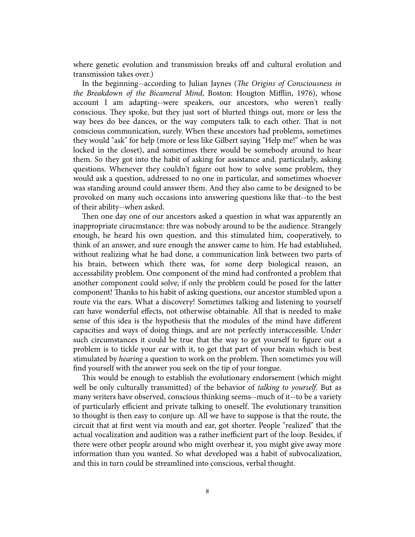where genetic evolution and transmission breaks off and cultural evolution and transmission takes over.)

In the beginning--according to Julian Jaynes (T*e Origins of Consciousness in the Breakdown of the Bicameral Mind*, Boston: Hougton Mifflin, 1976), whose account I am adapting--were speakers, our ancestors, who weren't really conscious. They spoke, but they just sort of blurted things out, more or less the way bees do bee dances, or the way computers talk to each other. That is not conscious communication, surely. When these ancestors had problems, sometimes they would "ask" for help (more or less like Gilbert saying "Help me!" when he was locked in the closet), and sometimes there would be somebody around to hear them. So they got into the habit of asking for assistance and, particularly, asking questions. Whenever they couldn't figure out how to solve some problem, they would ask a question, addressed to no one in particular, and sometimes whoever was standing around could answer them. And they also came to be designed to be provoked on many such occasions into answering questions like that--to the best of their ability--when asked.

Then one day one of our ancestors asked a question in what was apparently an inappropriate cirucmstance: thre was nobody around to be the audience. Strangely enough, he heard his own question, and this stimulated him, cooperatively, to think of an answer, and sure enough the answer came to him. He had established, without realizing what he had done, a communication link between two parts of his brain, between which there was, for some deep biological reason, an accessability problem. One component of the mind had confronted a problem that another component could solve; if only the problem could be posed for the latter component! Thanks to his habit of asking questions, our ancestor stumbled upon a route via the ears. What a discovery! Sometimes talking and listening to yourself can have wonderful effects, not otherwise obtainable. All that is needed to make sense of this idea is the hypothesis that the modules of the mind have different capacities and ways of doing things, and are not perfectly interaccessible. Under such circumstances it could be true that the way to get yourself to figure out a problem is to tickle your ear with it, to get that part of your brain which is best stimulated by *hearing* a question to work on the problem. Then sometimes you will find yourself with the answer you seek on the tip of your tongue.

Tis would be enough to establish the evolutionary endorsement (which might well be only culturally transmitted) of the behavior of *talking to yourself*. But as many writers have observed, conscious thinking seems--much of it--to be a variety of particularly efficient and private talking to oneself. The evolutionary transition to thought is then easy to conjure up. All we have to suppose is that the route, the circuit that at first went via mouth and ear, got shorter. People "realized" that the actual vocalization and audition was a rather inefficient part of the loop. Besides, if there were other people around who might overhear it, you might give away more information than you wanted. So what developed was a habit of subvocalization, and this in turn could be streamlined into conscious, verbal thought.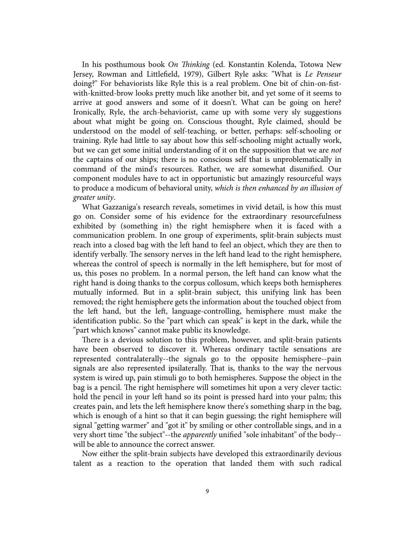In his posthumous book *On* T*inking* (ed. Konstantin Kolenda, Totowa New Jersey, Rowman and Littlefield, 1979), Gilbert Ryle asks: "What is *Le Penseur* doing?" For behaviorists like Ryle this is a real problem. One bit of chin-on-fistwith-knitted-brow looks pretty much like another bit, and yet some of it seems to arrive at good answers and some of it doesn't. What can be going on here? Ironically, Ryle, the arch-behaviorist, came up with some very sly suggestions about what might be going on. Conscious thought, Ryle claimed, should be understood on the model of self-teaching, or better, perhaps: self-schooling or training. Ryle had little to say about how this self-schooling might actually work, but we can get some initial understanding of it on the supposition that we are *not*  the captains of our ships; there is no conscious self that is unproblematically in command of the mind's resources. Rather, we are somewhat disunified. Our component modules have to act in opportunistic but amazingly resourceful ways to produce a modicum of behavioral unity, *which is then enhanced by an illusion of greater unity*.

What Gazzaniga's research reveals, sometimes in vivid detail, is how this must go on. Consider some of his evidence for the extraordinary resourcefulness exhibited by (something in) the right hemisphere when it is faced with a communication problem. In one group of experiments, split-brain subjects must reach into a closed bag with the left hand to feel an object, which they are then to identify verbally. The sensory nerves in the left hand lead to the right hemisphere, whereas the control of speech is normally in the lef hemisphere, but for most of us, this poses no problem. In a normal person, the left hand can know what the right hand is doing thanks to the corpus collosum, which keeps both hemispheres mutually informed. But in a split-brain subject, this unifying link has been removed; the right hemisphere gets the information about the touched object from the left hand, but the left, language-controlling, hemisphere must make the identification public. So the "part which can speak" is kept in the dark, while the "part which knows" cannot make public its knowledge.

There is a devious solution to this problem, however, and split-brain patients have been observed to discover it. Whereas ordinary tactile sensations are represented contralaterally--the signals go to the opposite hemisphere--pain signals are also represented ipsilaterally. That is, thanks to the way the nervous system is wired up, pain stimuli go to both hemispheres. Suppose the object in the bag is a pencil. The right hemisphere will sometimes hit upon a very clever tactic: hold the pencil in your left hand so its point is pressed hard into your palm; this creates pain, and lets the left hemisphere know there's something sharp in the bag, which is enough of a hint so that it can begin guessing; the right hemisphere will signal "getting warmer" and "got it" by smiling or other controllable sings, and in a very short time "the subject"--the *apparently* unified "sole inhabitant" of the body- will be able to announce the correct answer.

Now either the split-brain subjects have developed this extraordinarily devious talent as a reaction to the operation that landed them with such radical